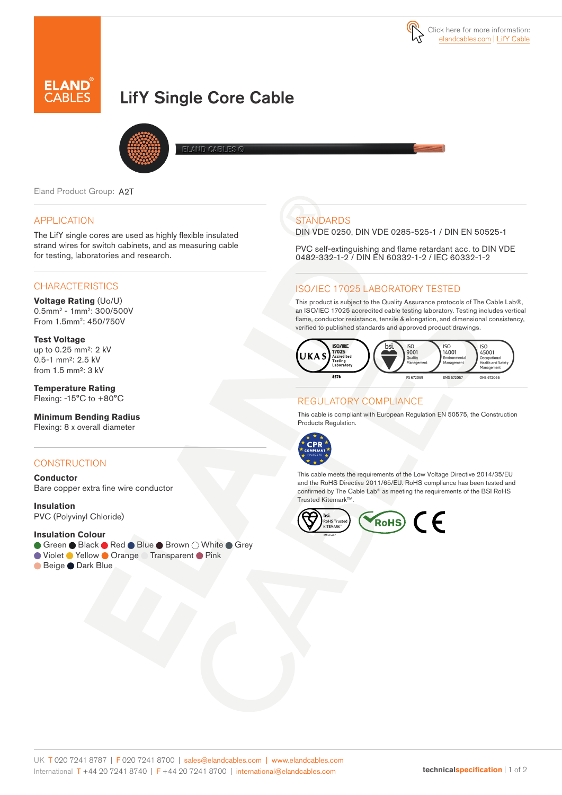

# LifY Single Core Cable



Eland Product Group: A2T

### APPLICATION

The LifY single cores are used as highly flexible insulated strand wires for switch cabinets, and as measuring cable for testing, laboratories and research.

## **CHARACTERISTICS**

**Voltage Rating** (Uo/U) 0.5mm2 - 1mm2: 300/500V From 1.5mm2: 450/750V

**Test Voltage** up to 0.25 mm²: 2 kV 0.5-1 mm²: 2.5 kV from 1.5 mm²: 3 kV

**Temperature Rating** Flexing: -15°C to +80°C

**Minimum Bending Radius** Flexing: 8 x overall diameter

### **CONSTRUCTION**

**Conductor** Bare copper extra fine wire conductor

**Insulation** PVC (Polyvinyl Chloride)

#### **Insulation Colour**

- Green Black Red Blue Brown O White Grey
- Violet Yellow Orange Transparent Pink
- Beige Dark Blue

# **STANDARDS**

DIN VDE 0250, DIN VDE 0285-525-1 / DIN EN 50525-1

PVC self-extinguishing and flame retardant acc. to DIN VDE 0482-332-1-2 / DIN EN 60332-1-2 / IEC 60332-1-2

# ISO/IEC 17025 LABORATORY TESTED

This product is subject to the Quality Assurance protocols of The Cable Lab®, an ISO/IEC 17025 accredited cable testing laboratory. Testing includes vertical flame, conductor resistance, tensile & elongation, and dimensional consistency, verified to published standards and approved product drawings.



# REGULATORY COMPLIANCE

This cable is compliant with European Regulation EN 50575, the Construction Products Regulation.



This cable meets the requirements of the Low Voltage Directive 2014/35/EU and the RoHS Directive 2011/65/EU. RoHS compliance has been tested and confirmed by The Cable Lab® as meeting the requirements of the BSI RoHS Trusted Kitemark<sup>™</sup>.